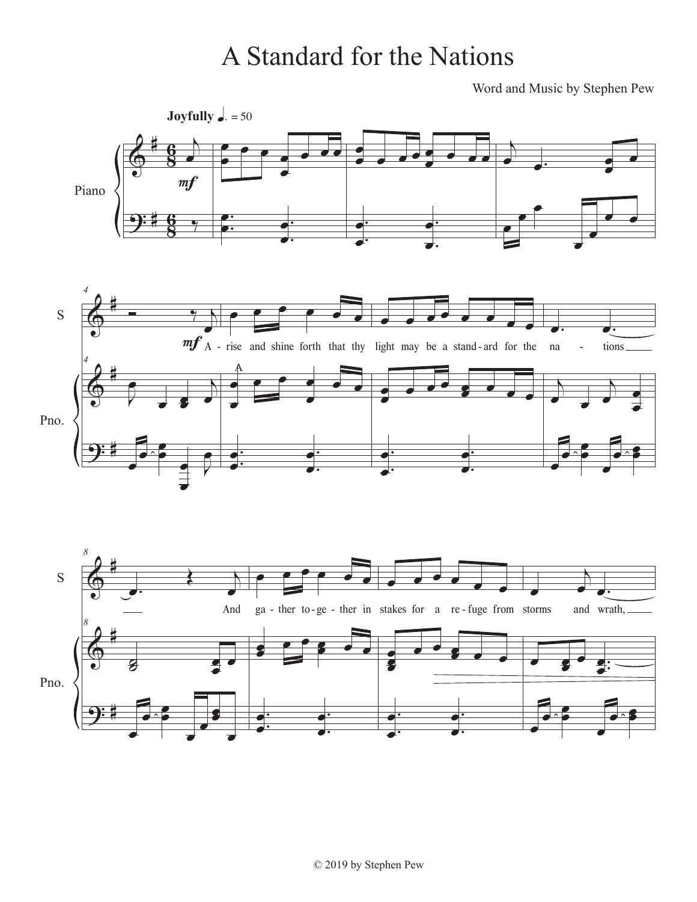## A Standard for the Nations

Word and Music by Stephen Pew

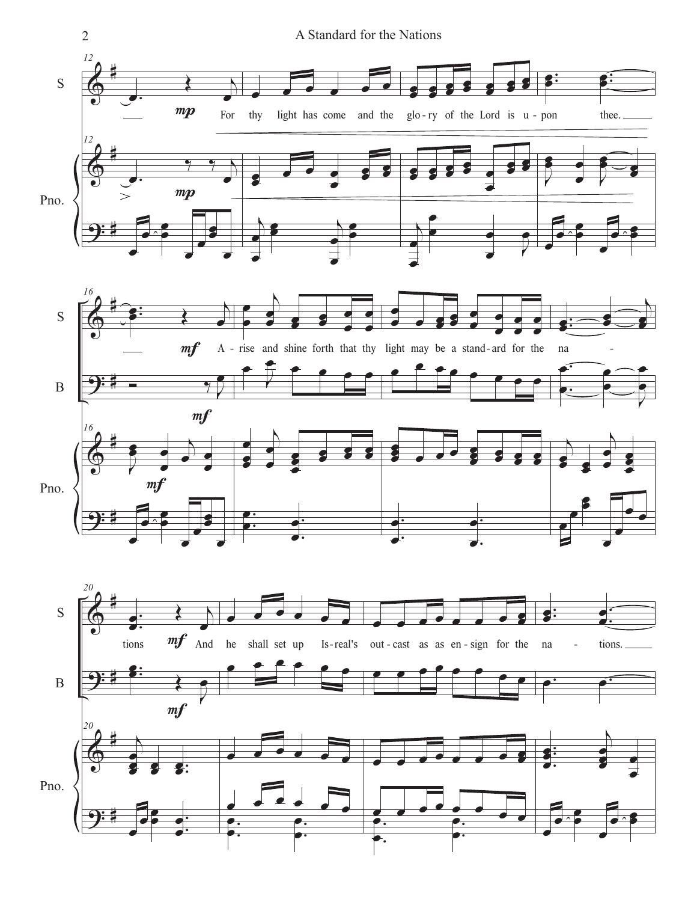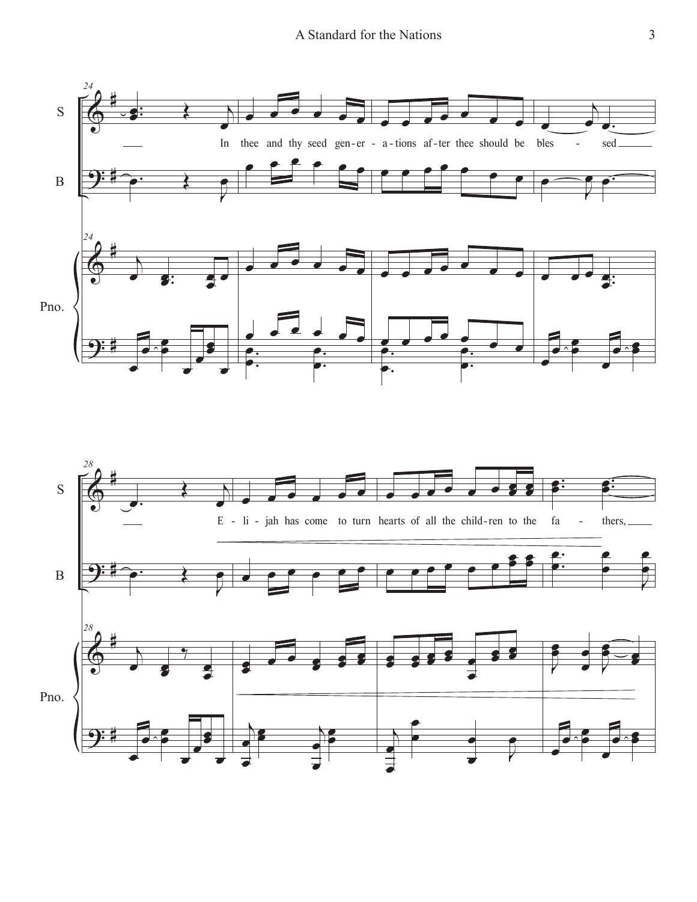

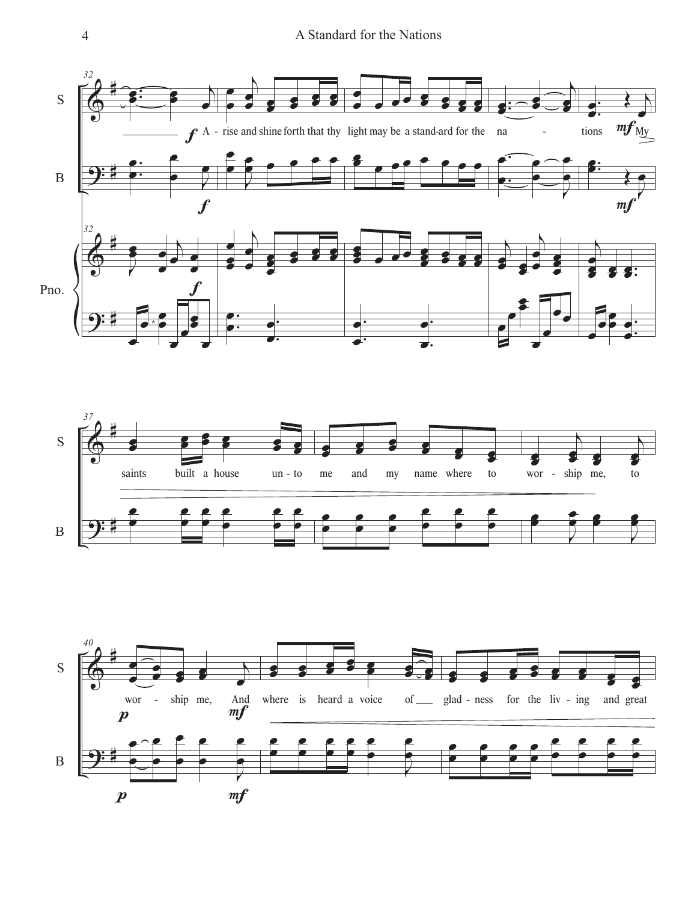



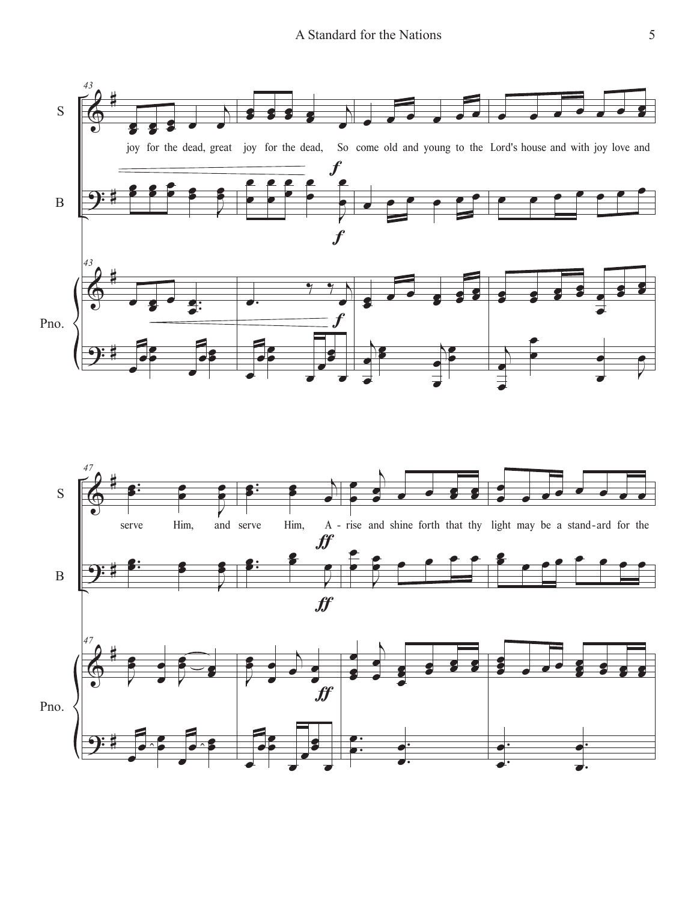